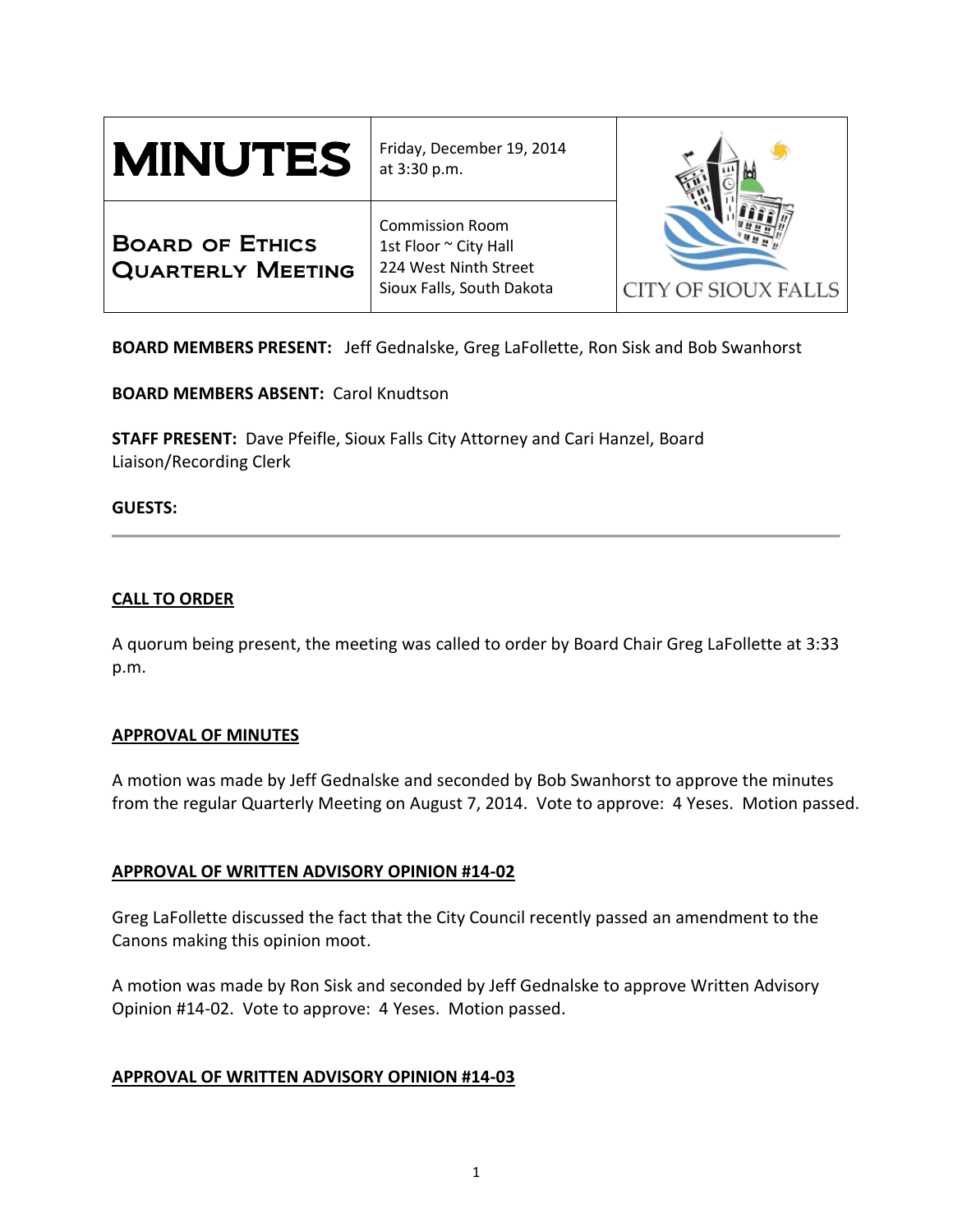| <b>MINUTES</b>                                     | Friday, December 19, 2014<br>at 3:30 p.m.                                                             |                            |
|----------------------------------------------------|-------------------------------------------------------------------------------------------------------|----------------------------|
| <b>BOARD OF ETHICS</b><br><b>QUARTERLY MEETING</b> | <b>Commission Room</b><br>1st Floor ~ City Hall<br>224 West Ninth Street<br>Sioux Falls, South Dakota | <b>CITY OF SIOUX FALLS</b> |

**BOARD MEMBERS PRESENT:** Jeff Gednalske, Greg LaFollette, Ron Sisk and Bob Swanhorst

**BOARD MEMBERS ABSENT:** Carol Knudtson

**STAFF PRESENT:** Dave Pfeifle, Sioux Falls City Attorney and Cari Hanzel, Board Liaison/Recording Clerk

### **GUESTS:**

## **CALL TO ORDER**

A quorum being present, the meeting was called to order by Board Chair Greg LaFollette at 3:33 p.m.

### **APPROVAL OF MINUTES**

A motion was made by Jeff Gednalske and seconded by Bob Swanhorst to approve the minutes from the regular Quarterly Meeting on August 7, 2014. Vote to approve: 4 Yeses. Motion passed.

### **APPROVAL OF WRITTEN ADVISORY OPINION #14-02**

Greg LaFollette discussed the fact that the City Council recently passed an amendment to the Canons making this opinion moot.

A motion was made by Ron Sisk and seconded by Jeff Gednalske to approve Written Advisory Opinion #14-02. Vote to approve: 4 Yeses. Motion passed.

### **APPROVAL OF WRITTEN ADVISORY OPINION #14-03**